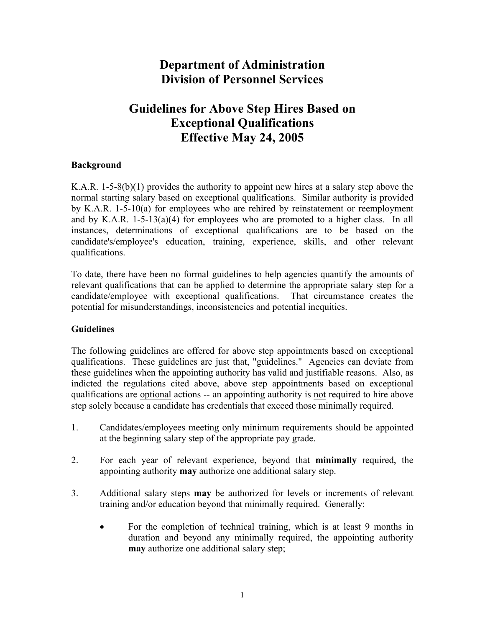# **Department of Administration Division of Personnel Services**

# **Guidelines for Above Step Hires Based on Exceptional Qualifications Effective May 24, 2005**

#### **Background**

K.A.R. 1-5-8(b)(1) provides the authority to appoint new hires at a salary step above the normal starting salary based on exceptional qualifications. Similar authority is provided by K.A.R. 1-5-10(a) for employees who are rehired by reinstatement or reemployment and by K.A.R. 1-5-13(a)(4) for employees who are promoted to a higher class. In all instances, determinations of exceptional qualifications are to be based on the candidate's/employee's education, training, experience, skills, and other relevant qualifications.

To date, there have been no formal guidelines to help agencies quantify the amounts of relevant qualifications that can be applied to determine the appropriate salary step for a candidate/employee with exceptional qualifications. That circumstance creates the potential for misunderstandings, inconsistencies and potential inequities.

### **Guidelines**

The following guidelines are offered for above step appointments based on exceptional qualifications. These guidelines are just that, "guidelines." Agencies can deviate from these guidelines when the appointing authority has valid and justifiable reasons. Also, as indicted the regulations cited above, above step appointments based on exceptional qualifications are optional actions -- an appointing authority is not required to hire above step solely because a candidate has credentials that exceed those minimally required.

- 1. Candidates/employees meeting only minimum requirements should be appointed at the beginning salary step of the appropriate pay grade.
- 2. For each year of relevant experience, beyond that **minimally** required, the appointing authority **may** authorize one additional salary step.
- 3. Additional salary steps **may** be authorized for levels or increments of relevant training and/or education beyond that minimally required. Generally:
	- For the completion of technical training, which is at least 9 months in duration and beyond any minimally required, the appointing authority **may** authorize one additional salary step;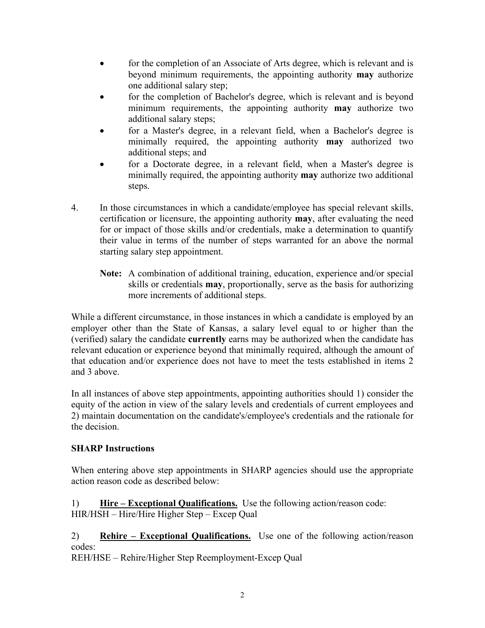- for the completion of an Associate of Arts degree, which is relevant and is beyond minimum requirements, the appointing authority **may** authorize one additional salary step;
- for the completion of Bachelor's degree, which is relevant and is beyond minimum requirements, the appointing authority **may** authorize two additional salary steps;
- for a Master's degree, in a relevant field, when a Bachelor's degree is minimally required, the appointing authority **may** authorized two additional steps; and
- for a Doctorate degree, in a relevant field, when a Master's degree is minimally required, the appointing authority **may** authorize two additional steps.
- 4. In those circumstances in which a candidate/employee has special relevant skills, certification or licensure, the appointing authority **may**, after evaluating the need for or impact of those skills and/or credentials, make a determination to quantify their value in terms of the number of steps warranted for an above the normal starting salary step appointment.
	- **Note:** A combination of additional training, education, experience and/or special skills or credentials **may**, proportionally, serve as the basis for authorizing more increments of additional steps.

While a different circumstance, in those instances in which a candidate is employed by an employer other than the State of Kansas, a salary level equal to or higher than the (verified) salary the candidate **currently** earns may be authorized when the candidate has relevant education or experience beyond that minimally required, although the amount of that education and/or experience does not have to meet the tests established in items 2 and 3 above.

In all instances of above step appointments, appointing authorities should 1) consider the equity of the action in view of the salary levels and credentials of current employees and 2) maintain documentation on the candidate's/employee's credentials and the rationale for the decision.

### **SHARP Instructions**

When entering above step appointments in SHARP agencies should use the appropriate action reason code as described below:

1) **Hire – Exceptional Qualifications.** Use the following action/reason code: HIR/HSH – Hire/Hire Higher Step – Excep Qual

2) **Rehire – Exceptional Qualifications.** Use one of the following action/reason codes:

REH/HSE – Rehire/Higher Step Reemployment-Excep Qual